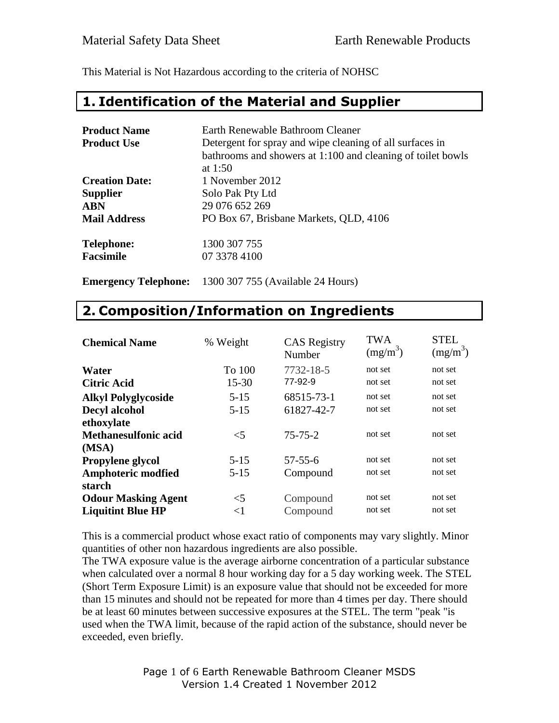This Material is Not Hazardous according to the criteria of NOHSC

#### **1. Identification of the Material and Supplier**

| <b>Product Name</b><br><b>Product Use</b> | Earth Renewable Bathroom Cleaner<br>Detergent for spray and wipe cleaning of all surfaces in<br>bathrooms and showers at 1:100 and cleaning of toilet bowls |
|-------------------------------------------|-------------------------------------------------------------------------------------------------------------------------------------------------------------|
| <b>Creation Date:</b><br><b>Supplier</b>  | at $1:50$<br>1 November 2012<br>Solo Pak Pty Ltd                                                                                                            |
| <b>ABN</b>                                | 29 076 652 269                                                                                                                                              |
| <b>Mail Address</b>                       | PO Box 67, Brisbane Markets, QLD, 4106                                                                                                                      |
| <b>Telephone:</b><br><b>Facsimile</b>     | 1300 307 755<br>07 3378 4100                                                                                                                                |

**Emergency Telephone:** 1300 307 755 (Available 24 Hours)

#### **2. Composition/Information on Ingredients**

| <b>Chemical Name</b>        | % Weight  | <b>CAS</b> Registry<br>Number | <b>TWA</b><br>$(mg/m^3)$ | <b>STEL</b><br>$(mg/m^3)$ |
|-----------------------------|-----------|-------------------------------|--------------------------|---------------------------|
| Water                       | To 100    | 7732-18-5                     | not set                  | not set                   |
| <b>Citric Acid</b>          | $15 - 30$ | 77-92-9                       | not set                  | not set                   |
| <b>Alkyl Polyglycoside</b>  | $5 - 15$  | 68515-73-1                    | not set                  | not set                   |
| <b>Decyl alcohol</b>        | $5 - 15$  | 61827-42-7                    | not set                  | not set                   |
| ethoxylate                  |           |                               |                          |                           |
| <b>Methanesulfonic acid</b> | $\leq$ 5  | $75 - 75 - 2$                 | not set                  | not set                   |
| (MSA)                       |           |                               |                          |                           |
| <b>Propylene glycol</b>     | $5 - 15$  | $57 - 55 - 6$                 | not set                  | not set                   |
| <b>Amphoteric modfied</b>   | $5 - 15$  | Compound                      | not set                  | not set                   |
| starch                      |           |                               |                          |                           |
| <b>Odour Masking Agent</b>  | $<$ 5     | Compound                      | not set                  | not set                   |
| <b>Liquitint Blue HP</b>    | $\leq$    | Compound                      | not set                  | not set                   |

This is a commercial product whose exact ratio of components may vary slightly. Minor quantities of other non hazardous ingredients are also possible.

The TWA exposure value is the average airborne concentration of a particular substance when calculated over a normal 8 hour working day for a 5 day working week. The STEL (Short Term Exposure Limit) is an exposure value that should not be exceeded for more than 15 minutes and should not be repeated for more than 4 times per day. There should be at least 60 minutes between successive exposures at the STEL. The term "peak "is used when the TWA limit, because of the rapid action of the substance, should never be exceeded, even briefly.

> Page 1 of 6 Earth Renewable Bathroom Cleaner MSDS Version 1.4 Created 1 November 2012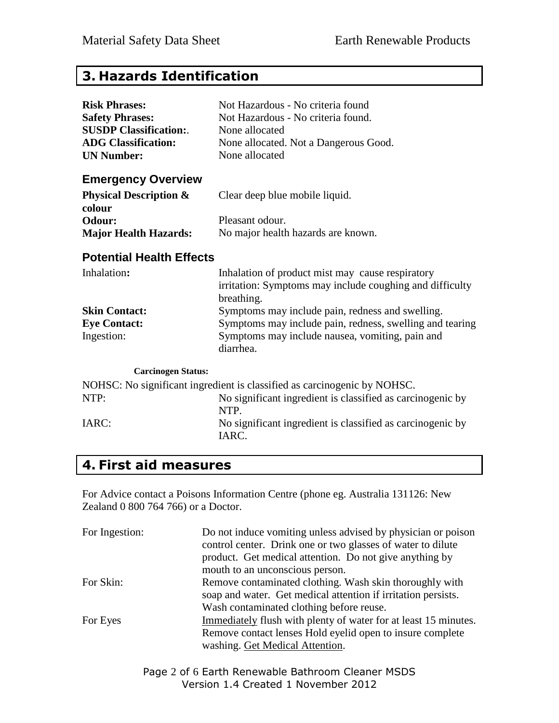## **3. Hazards Identification**

| <b>Risk Phrases:</b>                        | Not Hazardous - No criteria found                                                                                          |  |  |
|---------------------------------------------|----------------------------------------------------------------------------------------------------------------------------|--|--|
| <b>Safety Phrases:</b>                      | Not Hazardous - No criteria found.                                                                                         |  |  |
| <b>SUSDP Classification:.</b>               | None allocated                                                                                                             |  |  |
| <b>ADG Classification:</b>                  | None allocated. Not a Dangerous Good.                                                                                      |  |  |
| <b>UN Number:</b>                           | None allocated                                                                                                             |  |  |
| <b>Emergency Overview</b>                   |                                                                                                                            |  |  |
| <b>Physical Description &amp;</b><br>colour | Clear deep blue mobile liquid.                                                                                             |  |  |
| Odour:                                      | Pleasant odour.                                                                                                            |  |  |
| <b>Major Health Hazards:</b>                | No major health hazards are known.                                                                                         |  |  |
| <b>Potential Health Effects</b>             |                                                                                                                            |  |  |
| Inhalation:                                 | Inhalation of product mist may cause respiratory<br>irritation: Symptoms may include coughing and difficulty<br>breathing. |  |  |
| <b>Skin Contact:</b>                        | Symptoms may include pain, redness and swelling.                                                                           |  |  |
| <b>Eye Contact:</b>                         | Symptoms may include pain, redness, swelling and tearing                                                                   |  |  |
| Ingestion:                                  | Symptoms may include nausea, vomiting, pain and<br>diarrhea.                                                               |  |  |
| <b>Carcinogen Status:</b>                   |                                                                                                                            |  |  |
|                                             | NOHSC: No significant ingredient is classified as carcinogenic by NOHSC.                                                   |  |  |
| NTP:                                        | No significant ingredient is classified as carcinogenic by<br>NTP.                                                         |  |  |
| IARC:                                       | No significant ingredient is classified as carcinogenic by<br>IARC.                                                        |  |  |

## **4. First aid measures**

For Advice contact a Poisons Information Centre (phone eg. Australia 131126: New Zealand 0 800 764 766) or a Doctor.

| For Ingestion: | Do not induce vomiting unless advised by physician or poison<br>control center. Drink one or two glasses of water to dilute<br>product. Get medical attention. Do not give anything by<br>mouth to an unconscious person. |
|----------------|---------------------------------------------------------------------------------------------------------------------------------------------------------------------------------------------------------------------------|
| For Skin:      | Remove contaminated clothing. Wash skin thoroughly with<br>soap and water. Get medical attention if irritation persists.                                                                                                  |
|                | Wash contaminated clothing before reuse.                                                                                                                                                                                  |
| For Eyes       | Immediately flush with plenty of water for at least 15 minutes.<br>Remove contact lenses Hold eyelid open to insure complete<br>washing. Get Medical Attention.                                                           |

Page 2 of 6 Earth Renewable Bathroom Cleaner MSDS Version 1.4 Created 1 November 2012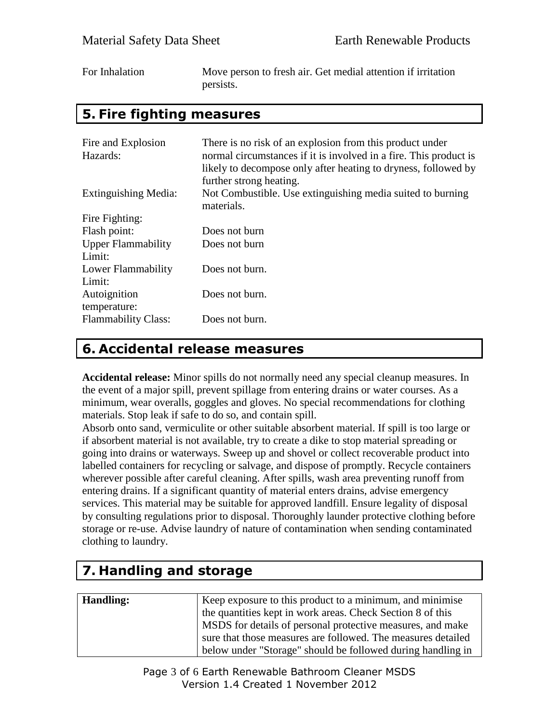| For Inhalation | Move person to fresh air. Get medial attention if irritation |
|----------------|--------------------------------------------------------------|
|                | persists.                                                    |

#### **5. Fire fighting measures**

| Fire and Explosion<br>Hazards:      | There is no risk of an explosion from this product under<br>normal circumstances if it is involved in a fire. This product is<br>likely to decompose only after heating to dryness, followed by<br>further strong heating. |
|-------------------------------------|----------------------------------------------------------------------------------------------------------------------------------------------------------------------------------------------------------------------------|
| Extinguishing Media:                | Not Combustible. Use extinguishing media suited to burning<br>materials.                                                                                                                                                   |
| Fire Fighting:                      |                                                                                                                                                                                                                            |
| Flash point:                        | Does not burn                                                                                                                                                                                                              |
| <b>Upper Flammability</b><br>Limit: | Does not burn                                                                                                                                                                                                              |
| Lower Flammability<br>Limit:        | Does not burn.                                                                                                                                                                                                             |
| Autoignition<br>temperature:        | Does not burn.                                                                                                                                                                                                             |
| <b>Flammability Class:</b>          | Does not burn.                                                                                                                                                                                                             |

#### **6. Accidental release measures**

**Accidental release:** Minor spills do not normally need any special cleanup measures. In the event of a major spill, prevent spillage from entering drains or water courses. As a minimum, wear overalls, goggles and gloves. No special recommendations for clothing materials. Stop leak if safe to do so, and contain spill.

Absorb onto sand, vermiculite or other suitable absorbent material. If spill is too large or if absorbent material is not available, try to create a dike to stop material spreading or going into drains or waterways. Sweep up and shovel or collect recoverable product into labelled containers for recycling or salvage, and dispose of promptly. Recycle containers wherever possible after careful cleaning. After spills, wash area preventing runoff from entering drains. If a significant quantity of material enters drains, advise emergency services. This material may be suitable for approved landfill. Ensure legality of disposal by consulting regulations prior to disposal. Thoroughly launder protective clothing before storage or re-use. Advise laundry of nature of contamination when sending contaminated clothing to laundry.

# **7. Handling and storage**

| <b>Handling:</b> | Keep exposure to this product to a minimum, and minimise     |
|------------------|--------------------------------------------------------------|
|                  | the quantities kept in work areas. Check Section 8 of this   |
|                  | MSDS for details of personal protective measures, and make   |
|                  | sure that those measures are followed. The measures detailed |
|                  | below under "Storage" should be followed during handling in  |

Page 3 of 6 Earth Renewable Bathroom Cleaner MSDS Version 1.4 Created 1 November 2012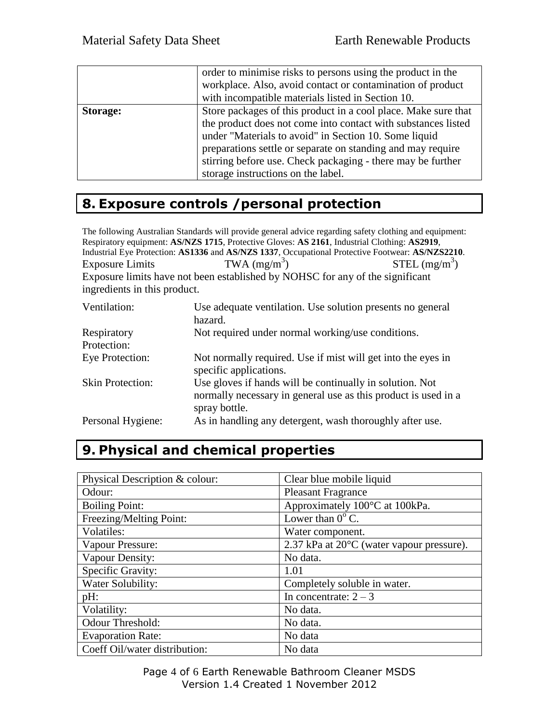|          | order to minimise risks to persons using the product in the<br>workplace. Also, avoid contact or contamination of product<br>with incompatible materials listed in Section 10.                                                                                                                                                                               |
|----------|--------------------------------------------------------------------------------------------------------------------------------------------------------------------------------------------------------------------------------------------------------------------------------------------------------------------------------------------------------------|
| Storage: | Store packages of this product in a cool place. Make sure that<br>the product does not come into contact with substances listed<br>under "Materials to avoid" in Section 10. Some liquid<br>preparations settle or separate on standing and may require<br>stirring before use. Check packaging - there may be further<br>storage instructions on the label. |

## **8. Exposure controls /personal protection**

The following Australian Standards will provide general advice regarding safety clothing and equipment: Respiratory equipment: **AS/NZS 1715**, Protective Gloves: **AS 2161**, Industrial Clothing: **AS2919**, Industrial Eye Protection: **AS1336** and **AS/NZS 1337**, Occupational Protective Footwear: **AS/NZS2210**. Exposure Limits TWA  $(mg/m<sup>3</sup>)$  $STEL (mg/m<sup>3</sup>)$ Exposure limits have not been established by NOHSC for any of the significant ingredients in this product.

| Ventilation:               | Use adequate ventilation. Use solution presents no general<br>hazard.                                                                       |
|----------------------------|---------------------------------------------------------------------------------------------------------------------------------------------|
| Respiratory<br>Protection: | Not required under normal working/use conditions.                                                                                           |
| Eye Protection:            | Not normally required. Use if mist will get into the eyes in<br>specific applications.                                                      |
| <b>Skin Protection:</b>    | Use gloves if hands will be continually in solution. Not<br>normally necessary in general use as this product is used in a<br>spray bottle. |
| Personal Hygiene:          | As in handling any detergent, wash thoroughly after use.                                                                                    |

# **9. Physical and chemical properties**

| Physical Description & colour: | Clear blue mobile liquid                  |
|--------------------------------|-------------------------------------------|
| Odour:                         | <b>Pleasant Fragrance</b>                 |
| <b>Boiling Point:</b>          | Approximately 100°C at 100kPa.            |
| Freezing/Melting Point:        | Lower than $0^{\circ}$ C.                 |
| Volatiles:                     | Water component.                          |
| Vapour Pressure:               | 2.37 kPa at 20°C (water vapour pressure). |
| Vapour Density:                | No data.                                  |
| Specific Gravity:              | 1.01                                      |
| Water Solubility:              | Completely soluble in water.              |
| pH:                            | In concentrate: $2 - 3$                   |
| Volatility:                    | No data.                                  |
| Odour Threshold:               | No data.                                  |
| <b>Evaporation Rate:</b>       | No data                                   |
| Coeff Oil/water distribution:  | No data                                   |

Page 4 of 6 Earth Renewable Bathroom Cleaner MSDS Version 1.4 Created 1 November 2012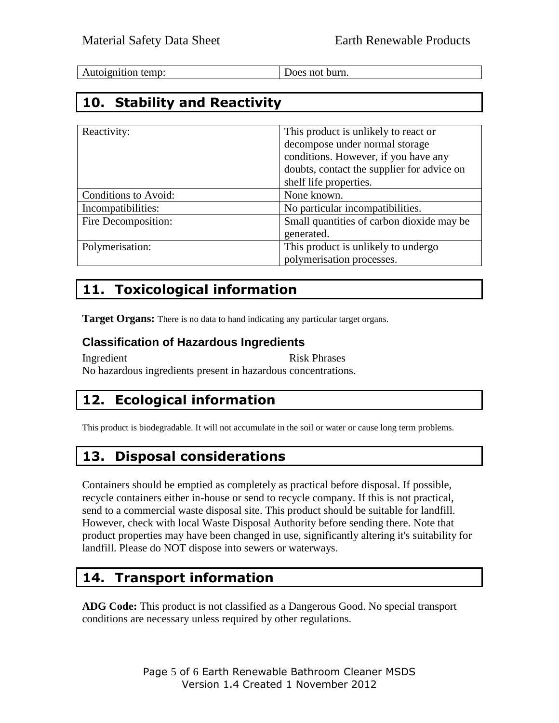Does not burn.

## **10. Stability and Reactivity**

| Reactivity:          | This product is unlikely to react or<br>decompose under normal storage<br>conditions. However, if you have any |
|----------------------|----------------------------------------------------------------------------------------------------------------|
|                      | doubts, contact the supplier for advice on                                                                     |
|                      | shelf life properties.                                                                                         |
| Conditions to Avoid: | None known.                                                                                                    |
| Incompatibilities:   | No particular incompatibilities.                                                                               |
| Fire Decomposition:  | Small quantities of carbon dioxide may be                                                                      |
|                      | generated.                                                                                                     |
| Polymerisation:      | This product is unlikely to undergo                                                                            |
|                      | polymerisation processes.                                                                                      |

## **11. Toxicological information**

**Target Organs:** There is no data to hand indicating any particular target organs.

#### **Classification of Hazardous Ingredients**

Ingredient Risk Phrases No hazardous ingredients present in hazardous concentrations.

# **12. Ecological information**

This product is biodegradable. It will not accumulate in the soil or water or cause long term problems.

## **13. Disposal considerations**

Containers should be emptied as completely as practical before disposal. If possible, recycle containers either in-house or send to recycle company. If this is not practical, send to a commercial waste disposal site. This product should be suitable for landfill. However, check with local Waste Disposal Authority before sending there. Note that product properties may have been changed in use, significantly altering it's suitability for landfill. Please do NOT dispose into sewers or waterways.

## **14. Transport information**

**ADG Code:** This product is not classified as a Dangerous Good. No special transport conditions are necessary unless required by other regulations.